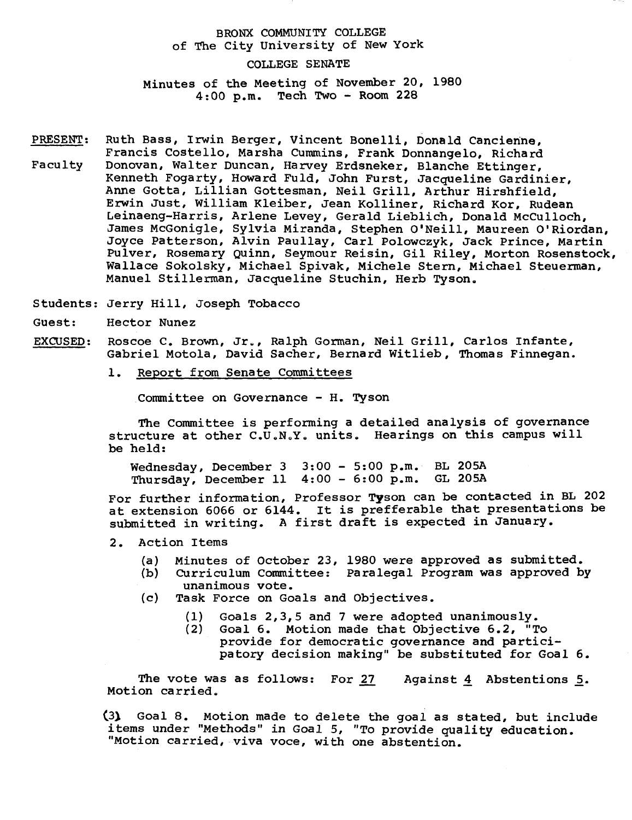## BRONX COMMUNITY COLLEGE of The City University of New York

## COLLEGE SENATE

Minutes of the Meeting of November 20, 1980 4:00 p.m. Tech Two - Room 228

PRESENT: Ruth Bass, Irwin Berger, Vincent Bonelli, Donald Cancienne, Francis Costello, Marsha Cummins, Frank Donnangelo, Richard Faculty Donovan, Walter Duncan, Harvey Erdsneker, Blanche Ettinger, Kenneth Fogarty, Howard Fuld, John Furst, Jacqueline Gardinier, Anne Gotta, Lillian Gottesman, Neil Grill, Arthur Hirshfield, Erwin Just, William Kleiber, Jean Kolliner, Richard Kor, Rudean Leinaeng-Harris, Arlene Levey, Gerald Lieblich, Donald McCulloch, James McGonigle, Sylvia Miranda, Stephen O'Neill, Maureen O'Riordan, Joyce Patterson, Alvin Paullay, Carl Polowczyk, Jack Prince, Martin Pulver, Rosemary Quinn, Seymour Reisin, Gil Riley, Morton Rosenstock, Wallace Sokolsky, Michael Spivak, Michele Stern, Michael Steuerman, Manuel Stillerman, Jacqueline Stuchin, Herb Tyson.

Students: Jerry Hill, Joseph Tobacco

Guest: Hector Nunez

- EXCUSED: Roscoe C. Brown, Jr., Ralph Gorman, Neil Grill, Carlos Infante, Gabriel Motola, David Sacher, Bernard Witlieb, Thomas Finnegan.
	- 1. Report from Senate Committees

Committee on Governance - H. Tyson

The Committee is performing a detailed analysis of governance structure at other C.U.N.Y. units. Hearings on this campus will be held:

Wednesday, December 3 3:00 - 5:00 p.m. BL 205A Thursday, December 11 4:00 - 6:00 p.m. GL 205A

For further information, Professor Tyson can be contacted in BL 202 at extension 6066 or 6144. It is prefferable that presentations be submitted in writing. A first draft is expected in January.

- 2. Action Items
	- (a) Minutes of October 23, 1980 were approved as submitted.
	- (b) CUrriculum Committee: Paralegal Program was approved by unanimous vote.
	- (c) Task Force on Goals and Objectives.
		- (1) Goals 2,3,5 and 7 were adopted unanimously.
		- (2) Goal 6. Motion made that Objective 6.2, "To provide for democratic governance and participatory decision making" be substituted for Goal 6.

The vote was as follows: For 27 Motion carried. Against 4 Abstentions 5.

(3) Goal 8. Motion made to delete the goal as stated, but include items under "Methods" in Goal 5, "To provide quality education. "Motion carried, viva voce, with one abstention.